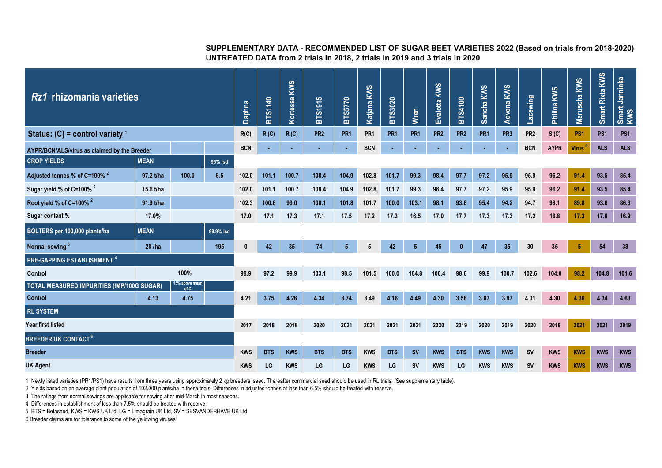## **SUPPLEMENTARY DATA - RECOMMENDED LIST OF SUGAR BEET VARIETIES 2022 (Based on trials from 2018-2020) UNTREATED DATA from 2 trials in 2018, 2 trials in 2019 and 3 trials in 2020**

| Rz1<br>rhizomania varieties                                          |             |       |           |            | <b>BTS1140</b> | Kortessa KWS | <b>BTS1915</b>  | <b>BTS5770</b>  | Katjana KWS     | BTS3020         | <b>Wren</b>     | Evalotta KWS    | <b>BTS4100</b>  | Sancha KWS      | KWS<br>Advena   | Lacewing        | Philina KWS | Maruscha KWS       | Smart Rixta KWS | Smart Janninka<br>KWS |
|----------------------------------------------------------------------|-------------|-------|-----------|------------|----------------|--------------|-----------------|-----------------|-----------------|-----------------|-----------------|-----------------|-----------------|-----------------|-----------------|-----------------|-------------|--------------------|-----------------|-----------------------|
| Status: $(C)$ = control variety $\frac{1}{2}$                        |             |       |           |            | R(C)           | R(C)         | PR <sub>2</sub> | PR <sub>1</sub> | PR <sub>1</sub> | PR <sub>1</sub> | PR <sub>1</sub> | PR <sub>2</sub> | PR <sub>2</sub> | PR <sub>1</sub> | PR <sub>3</sub> | PR <sub>2</sub> | S(G)        | PS <sub>1</sub>    | PS <sub>1</sub> | PS <sub>1</sub>       |
| AYPR/BCN/ALS/virus as claimed by the Breeder                         |             |       |           | <b>BCN</b> |                |              |                 |                 | <b>BCN</b>      |                 |                 |                 |                 |                 |                 | <b>BCN</b>      | <b>AYPR</b> | Virus <sup>6</sup> | <b>ALS</b>      | <b>ALS</b>            |
| <b>CROP YIELDS</b>                                                   | <b>MEAN</b> |       | 95% Isd   |            |                |              |                 |                 |                 |                 |                 |                 |                 |                 |                 |                 |             |                    |                 |                       |
| Adjusted tonnes % of C=100% <sup>2</sup>                             | 97.2 t/ha   | 100.0 | 6.5       | 102.0      | 101.1          | 100.7        | 108.4           | 104.9           | 102.8           | 101.7           | 99.3            | 98.4            | 97.7            | 97.2            | 95.9            | 95.9            | 96.2        | 91.4               | 93.5            | 85.4                  |
| Sugar yield % of C=100% <sup>2</sup>                                 | 15.6 t/ha   |       |           | 102.0      | 101.1          | 100.7        | 108.4           | 104.9           | 102.8           | 101.7           | 99.3            | 98.4            | 97.7            | 97.2            | 95.9            | 95.9            | 96.2        | 91.4               | 93.5            | 85.4                  |
| Root yield % of C=100% <sup>2</sup>                                  | 91.9 t/ha   |       |           | 102.3      | 100.6          | 99.0         | 108.1           | 101.8           | 101.7           | 100.0           | 103.1           | 98.1            | 93.6            | 95.4            | 94.2            | 94.7            | 98.1        | 89.8               | 93.6            | 86.3                  |
| Sugar content %                                                      | 17.0%       |       |           | 17.0       | 17.1           | 17.3         | 17.1            | 17.5            | 17.2            | 17.3            | 16.5            | 17.0            | 17.7            | 17.3            | 17.3            | 17.2            | 16.8        | 17.3               | 17.0            | 16.9                  |
| BOLTERS per 100,000 plants/ha                                        | <b>MEAN</b> |       | 99.9% Isd |            |                |              |                 |                 |                 |                 |                 |                 |                 |                 |                 |                 |             |                    |                 |                       |
| Normal sowing                                                        | 28 /ha      |       | 195       |            | 42             | 35           | 74              | 5               | 5               | 42              | $5\phantom{.0}$ | 45              | $\bf{0}$        | 47              | 35              | 30              | 35          | -5                 | 54              | 38                    |
| PRE-GAPPING ESTABLISHMENT <sup>4</sup>                               |             |       |           |            |                |              |                 |                 |                 |                 |                 |                 |                 |                 |                 |                 |             |                    |                 |                       |
| 100%<br>Control                                                      |             |       | 98.9      | 97.2       | 99.9           | 103.1        | 98.5            | 101.5           | 100.0           | 104.8           | 100.4           | 98.6            | 99.9            | 100.7           | 102.6           | 104.0           | 98.2        | 104.8              | 101.6           |                       |
| 15% above mean<br>TOTAL MEASURED IMPURITIES (IMP/100G SUGAR)<br>of C |             |       |           |            |                |              |                 |                 |                 |                 |                 |                 |                 |                 |                 |                 |             |                    |                 |                       |
| <b>Control</b>                                                       | 4.13        | 4.75  |           | 4.21       | 3.75           | 4.26         | 4.34            | 3.74            | 3.49            | 4.16            | 4.49            | 4.30            | 3.56            | 3.87            | 3.97            | 4.01            | 4.30        | 4.36               | 4.34            | 4.63                  |
| <b>RL SYSTEM</b>                                                     |             |       |           |            |                |              |                 |                 |                 |                 |                 |                 |                 |                 |                 |                 |             |                    |                 |                       |
| Year first listed                                                    |             |       |           |            | 2018           | 2018         | 2020            | 2021            | 2021            | 2021            | 2021            | 2020            | 2019            | 2020            | 2019            | 2020            | 2018        | 2021               | 2021            | 2019                  |
| <b>BREEDER/UK CONTACT<sup>6</sup></b>                                |             |       |           |            |                |              |                 |                 |                 |                 |                 |                 |                 |                 |                 |                 |             |                    |                 |                       |
| <b>Breeder</b>                                                       |             |       |           |            | <b>BTS</b>     | <b>KWS</b>   | <b>BTS</b>      | <b>BTS</b>      | <b>KWS</b>      | <b>BTS</b>      | <b>SV</b>       | <b>KWS</b>      | <b>BTS</b>      | <b>KWS</b>      | <b>KWS</b>      | <b>SV</b>       | <b>KWS</b>  | <b>KWS</b>         | <b>KWS</b>      | <b>KWS</b>            |
| <b>UK Agent</b>                                                      |             |       |           |            | LG             | <b>KWS</b>   | LG              | LG              | <b>KWS</b>      | LG              | <b>SV</b>       | <b>KWS</b>      | LG              | <b>KWS</b>      | <b>KWS</b>      | SV              | <b>KWS</b>  | <b>KWS</b>         | <b>KWS</b>      | <b>KWS</b>            |

1 Newly listed varieties (PR1/PS1) have results from three years using approximately 2 kg breeders' seed. Thereafter commercial seed should be used in RL trials. (See supplementary table).

2 Yields based on an average plant population of 102,000 plants/ha in these trials. Differences in adjusted tonnes of less than 6.5% should be treated with reserve.

3 The ratings from normal sowings are applicable for sowing after mid-March in most seasons.

4 Differences in establishment of less than 7.5% should be treated with reserve.

5 BTS = Betaseed, KWS = KWS UK Ltd, LG = Limagrain UK Ltd, SV = SESVANDERHAVE UK Ltd

6 Breeder claims are for tolerance to some of the yellowing viruses